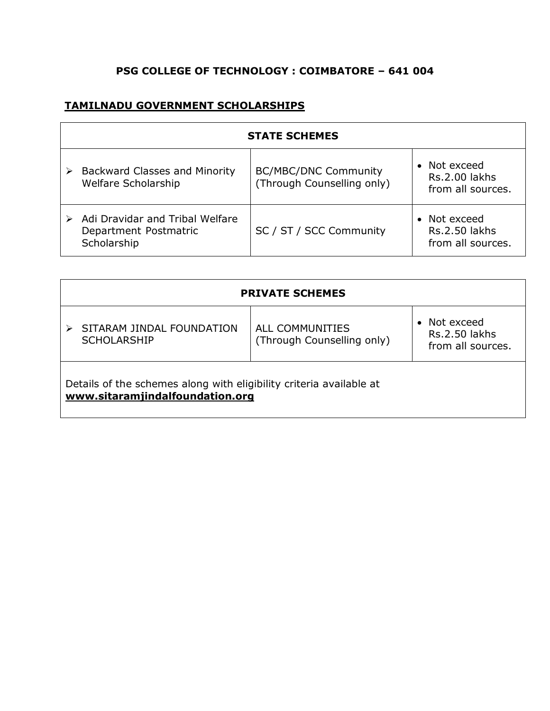## **PSG COLLEGE OF TECHNOLOGY : COIMBATORE – 641 004**

## **TAMILNADU GOVERNMENT SCHOLARSHIPS**

| <b>STATE SCHEMES</b>                                                    |                                                           |                                                                      |
|-------------------------------------------------------------------------|-----------------------------------------------------------|----------------------------------------------------------------------|
| Backward Classes and Minority<br>Welfare Scholarship                    | <b>BC/MBC/DNC Community</b><br>(Through Counselling only) | Not exceed<br>$\bullet$<br><b>Rs.2.00 lakhs</b><br>from all sources. |
| Adi Dravidar and Tribal Welfare<br>Department Postmatric<br>Scholarship | SC / ST / SCC Community                                   | Not exceed<br>$\bullet$<br>Rs.2.50 lakhs<br>from all sources.        |

| <b>PRIVATE SCHEMES</b>                                                                                 |                                               |                                                                      |  |
|--------------------------------------------------------------------------------------------------------|-----------------------------------------------|----------------------------------------------------------------------|--|
| SITARAM JINDAL FOUNDATION<br><b>SCHOLARSHIP</b>                                                        | ALL COMMUNITIES<br>(Through Counselling only) | Not exceed<br>$\bullet$<br><b>Rs.2.50 lakhs</b><br>from all sources. |  |
| Details of the schemes along with eligibility criteria available at<br>www.sitaramjindalfoundation.org |                                               |                                                                      |  |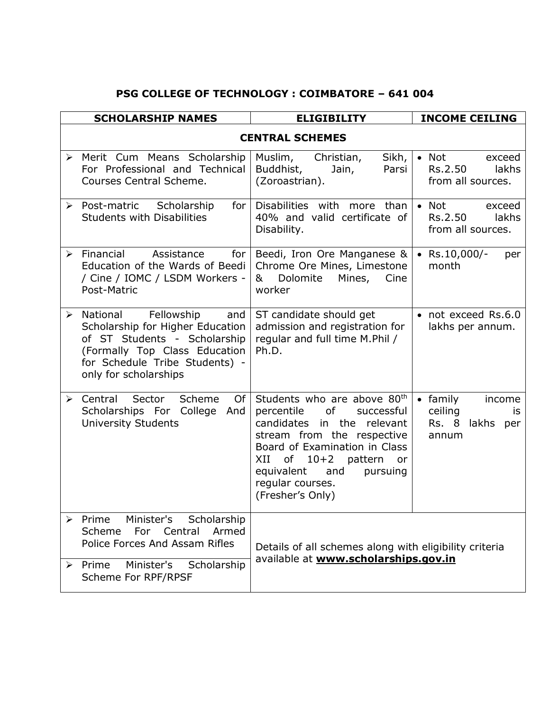## **PSG COLLEGE OF TECHNOLOGY : COIMBATORE – 641 004**

|                       | <b>SCHOLARSHIP NAMES</b>                                                                                                                                                                      | <b>ELIGIBILITY</b>                                                                                                                                                                                                                                                                   | <b>INCOME CEILING</b>                                                            |
|-----------------------|-----------------------------------------------------------------------------------------------------------------------------------------------------------------------------------------------|--------------------------------------------------------------------------------------------------------------------------------------------------------------------------------------------------------------------------------------------------------------------------------------|----------------------------------------------------------------------------------|
|                       |                                                                                                                                                                                               | <b>CENTRAL SCHEMES</b>                                                                                                                                                                                                                                                               |                                                                                  |
|                       | > Merit Cum Means Scholarship<br>For Professional and Technical<br>Courses Central Scheme.                                                                                                    | Muslim,<br>Sikh,<br>Christian,<br>Buddhist,<br>Jain,<br>Parsi<br>(Zoroastrian).                                                                                                                                                                                                      | $\bullet$ Not<br>exceed<br>lakhs<br>Rs.2.50<br>from all sources.                 |
|                       | > Post-matric Scholarship<br>for $\vert$<br><b>Students with Disabilities</b>                                                                                                                 | Disabilities with more than<br>40% and valid certificate of<br>Disability.                                                                                                                                                                                                           | Not<br>$\bullet$<br>exceed<br>Rs.2.50<br>lakhs<br>from all sources.              |
|                       | $\triangleright$ Financial<br>Assistance<br>for <sub>1</sub><br>Education of the Wards of Beedi  <br>/ Cine / IOMC / LSDM Workers -<br>Post-Matric                                            | Beedi, Iron Ore Manganese &<br>Chrome Ore Mines, Limestone<br>Dolomite<br>Mines,<br>&<br>Cine<br>worker                                                                                                                                                                              | Rs.10,000/-<br>$\bullet$<br>per<br>month                                         |
| ≻                     | Fellowship<br>National<br>and<br>Scholarship for Higher Education<br>of ST Students - Scholarship<br>(Formally Top Class Education<br>for Schedule Tribe Students) -<br>only for scholarships | ST candidate should get<br>admission and registration for<br>regular and full time M.Phil /<br>Ph.D.                                                                                                                                                                                 | • not exceed Rs.6.0<br>lakhs per annum.                                          |
|                       | $\triangleright$ Central<br>Scheme<br>Sector<br>Of<br>Scholarships For College<br>And<br><b>University Students</b>                                                                           | Students who are above 80 <sup>th</sup><br>of<br>percentile<br>successful<br>candidates in the relevant<br>stream from the respective<br>Board of Examination in Class<br>of $10+2$<br>XII<br>pattern<br>or<br>equivalent<br>pursuing<br>and<br>reqular courses.<br>(Fresher's Only) | family<br>income<br>$\bullet$<br>ceiling<br>is<br>lakhs<br>Rs. 8<br>per<br>annum |
| $\blacktriangleright$ | Minister's<br>Scholarship<br>Prime<br>Armed<br>Scheme For Central<br>Police Forces And Assam Rifles<br>Scholarship<br>Minister's<br>$\triangleright$ Prime<br>Scheme For RPF/RPSF             | Details of all schemes along with eligibility criteria<br>available at www.scholarships.gov.in                                                                                                                                                                                       |                                                                                  |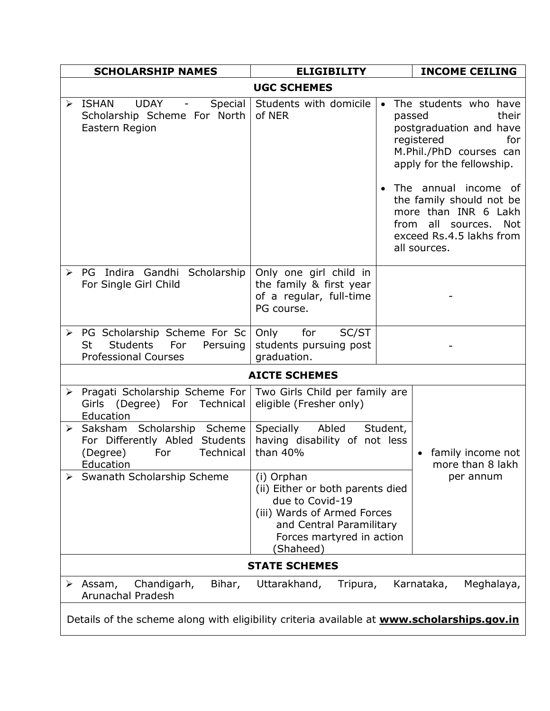|                                                                                                   | <b>SCHOLARSHIP NAMES</b>                                                           | <b>ELIGIBILITY</b>                                                                                                                                                     |          | <b>INCOME CEILING</b>                                                                                                                                   |
|---------------------------------------------------------------------------------------------------|------------------------------------------------------------------------------------|------------------------------------------------------------------------------------------------------------------------------------------------------------------------|----------|---------------------------------------------------------------------------------------------------------------------------------------------------------|
| <b>UGC SCHEMES</b>                                                                                |                                                                                    |                                                                                                                                                                        |          |                                                                                                                                                         |
| ISHAN<br><b>UDAY</b><br>$\blacktriangleright$<br>Eastern Region                                   | Special<br>$\overline{\phantom{a}}$<br>Scholarship Scheme For North                | Students with domicile<br>of NER                                                                                                                                       | passed   | • The students who have<br>their<br>postgraduation and have<br>for<br>registered<br>M.Phil./PhD courses can<br>apply for the fellowship.                |
|                                                                                                   |                                                                                    |                                                                                                                                                                        |          | The annual income of<br>the family should not be<br>more than INR 6 Lakh<br>from all sources.<br><b>Not</b><br>exceed Rs.4.5 lakhs from<br>all sources. |
| For Single Girl Child                                                                             | > PG Indira Gandhi Scholarship                                                     | Only one girl child in<br>the family & first year<br>of a regular, full-time<br>PG course.                                                                             |          |                                                                                                                                                         |
| $\blacktriangleright$<br><b>Students</b><br>St<br><b>Professional Courses</b>                     | PG Scholarship Scheme For Sc<br>Persuing<br>For                                    | for<br>Only<br>SC/ST<br>students pursuing post<br>graduation.                                                                                                          |          |                                                                                                                                                         |
|                                                                                                   |                                                                                    | <b>AICTE SCHEMES</b>                                                                                                                                                   |          |                                                                                                                                                         |
| Education                                                                                         | > Pragati Scholarship Scheme For<br>Girls (Degree) For Technical                   | Two Girls Child per family are<br>eligible (Fresher only)                                                                                                              |          |                                                                                                                                                         |
| (Degree)<br><b>Education</b>                                                                      | > Saksham Scholarship Scheme<br>For Differently Abled Students<br>Technical<br>For | Specially Abled<br>having disability of not less<br>than 40%                                                                                                           | Student, | family income not<br>more than 8 lakh                                                                                                                   |
|                                                                                                   | Swanath Scholarship Scheme                                                         | (i) Orphan<br>(ii) Either or both parents died<br>due to Covid-19<br>(iii) Wards of Armed Forces<br>and Central Paramilitary<br>Forces martyred in action<br>(Shaheed) |          | per annum                                                                                                                                               |
| <b>STATE SCHEMES</b>                                                                              |                                                                                    |                                                                                                                                                                        |          |                                                                                                                                                         |
| Assam,<br><b>Arunachal Pradesh</b>                                                                | Chandigarh,<br>Bihar,                                                              | Uttarakhand,<br>Tripura,                                                                                                                                               |          | Karnataka,<br>Meghalaya,                                                                                                                                |
| Details of the scheme along with eligibility criteria available at <b>www.scholarships.gov.in</b> |                                                                                    |                                                                                                                                                                        |          |                                                                                                                                                         |